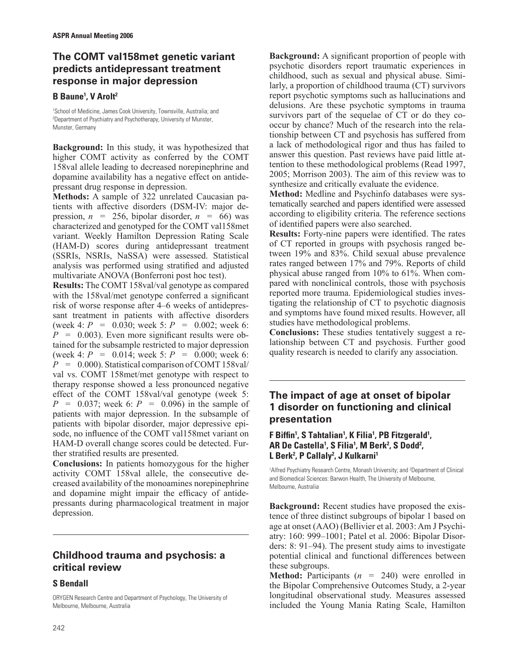# **The COMT val158met genetic variant predicts antidepressant treatment response in major depression**

### **B Baune1 , V Arolt2**

1 School of Medicine, James Cook University, Townsville, Australia; and 2 Department of Psychiatry and Psychotherapy, University of Munster, Munster, Germany

**Background:** In this study, it was hypothesized that higher COMT activity as conferred by the COMT 158val allele leading to decreased norepinephrine and dopamine availability has a negative effect on antidepressant drug response in depression.

**Methods:** A sample of 322 unrelated Caucasian patients with affective disorders (DSM-IV: major depression,  $n = 256$ , bipolar disorder,  $n = 66$ ) was characterized and genotyped for the COMT val158met variant. Weekly Hamilton Depression Rating Scale (HAM-D) scores during antidepressant treatment (SSRIs, NSRIs, NaSSA) were assessed. Statistical analysis was performed using stratified and adjusted multivariate ANOVA (Bonferroni post hoc test).

**Results:** The COMT 158val/val genotype as compared with the  $158$ val/met genotype conferred a significant risk of worse response after 4–6 weeks of antidepressant treatment in patients with affective disorders (week 4:  $P = 0.030$ ; week 5:  $P = 0.002$ ; week 6:  $P = 0.003$ ). Even more significant results were obtained for the subsample restricted to major depression (week 4:  $P = 0.014$ ; week 5:  $P = 0.000$ ; week 6:  $P = 0.000$ . Statistical comparison of COMT 158val/ val vs. COMT 158met/met genotype with respect to therapy response showed a less pronounced negative effect of the COMT 158val/val genotype (week 5: *P* = 0.037; week 6: *P* = 0.096) in the sample of patients with major depression. In the subsample of patients with bipolar disorder, major depressive episode, no influence of the COMT val158met variant on HAM-D overall change scores could be detected. Further stratified results are presented.

**Conclusions:** In patients homozygous for the higher activity COMT 158val allele, the consecutive decreased availability of the monoamines norepinephrine and dopamine might impair the efficacy of antidepressants during pharmacological treatment in major depression.

## **Childhood trauma and psychosis: a critical review**

### **S Bendall**

ORYGEN Research Centre and Department of Psychology, The University of Melbourne, Melbourne, Australia

**Background:** A significant proportion of people with psychotic disorders report traumatic experiences in childhood, such as sexual and physical abuse. Similarly, a proportion of childhood trauma (CT) survivors report psychotic symptoms such as hallucinations and delusions. Are these psychotic symptoms in trauma survivors part of the sequelae of CT or do they co occur by chance? Much of the research into the relationship between CT and psychosis has suffered from a lack of methodological rigor and thus has failed to answer this question. Past reviews have paid little attention to these methodological problems (Read 1997, 2005; Morrison 2003). The aim of this review was to synthesize and critically evaluate the evidence.

**Method:** Medline and Psychinfo databases were systematically searched and papers identified were assessed according to eligibility criteria. The reference sections of identified papers were also searched.

**Results:** Forty-nine papers were identified. The rates of CT reported in groups with psychosis ranged between 19% and 83%. Child sexual abuse prevalence rates ranged between 17% and 79%. Reports of child physical abuse ranged from 10% to 61%. When compared with nonclinical controls, those with psychosis reported more trauma. Epidemiological studies investigating the relationship of CT to psychotic diagnosis and symptoms have found mixed results. However, all studies have methodological problems.

**Conclusions:** These studies tentatively suggest a relationship between CT and psychosis. Further good quality research is needed to clarify any association.

## **The impact of age at onset of bipolar 1 disorder on functioning and clinical presentation**

**F** Biffin<sup>1</sup>, S Tahtalian<sup>1</sup>, K Filia<sup>1</sup>, PB Fitzgerald<sup>1</sup>, **AR De Castella1 , S Filia1 , M Berk2 , S Dodd2 , L Berk2 , P Callaly2 , J Kulkarni1**

<sup>1</sup> Alfred Psychiatry Research Centre, Monash University; and <sup>2</sup>Department of Clinical and Biomedical Sciences: Barwon Health, The University of Melbourne, Melbourne, Australia

**Background:** Recent studies have proposed the existence of three distinct subgroups of bipolar 1 based on age at onset (AAO) (Bellivier et al. 2003: Am J Psychiatry: 160: 999–1001; Patel et al. 2006: Bipolar Disorders: 8: 91–94). The present study aims to investigate potential clinical and functional differences between these subgroups.

**Method:** Participants (*n* = 240) were enrolled in the Bipolar Comprehensive Outcomes Study, a 2-year longitudinal observational study. Measures assessed included the Young Mania Rating Scale, Hamilton